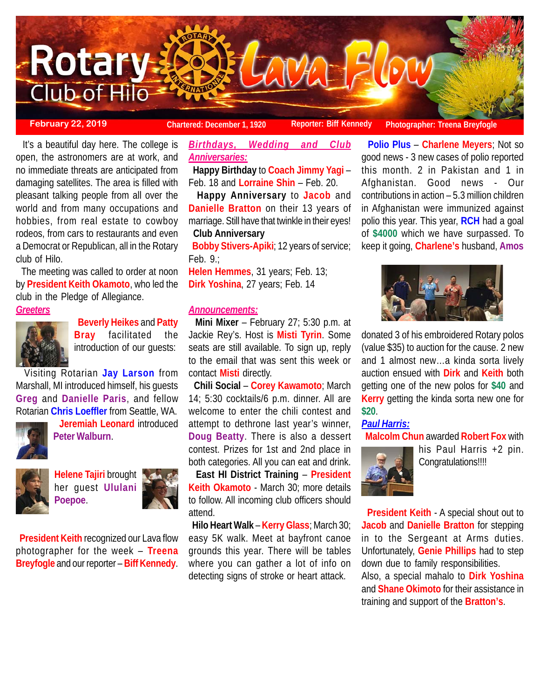

**February 22, 2019 Chartered: December 1, 1920** Reporter: Biff Kennedy Photographer: Treena Breyfogle

 It's a beautiful day here. The college is open, the astronomers are at work, and no immediate threats are anticipated from damaging satellites. The area is filled with pleasant talking people from all over the world and from many occupations and hobbies, from real estate to cowboy rodeos, from cars to restaurants and even a Democrat or Republican, all in the Rotary club of Hilo.

 The meeting was called to order at noon by **President Keith Okamoto**, who led the club in the Pledge of Allegiance.

# *Greeters*



 **Beverly Heikes** and **Patty Bray** facilitated the introduction of our guests:

 Visiting Rotarian **Jay Larson** from Marshall, MI introduced himself, his guests **Greg** and **Danielle Paris**, and fellow Rotarian **Chris Loeffler** from Seattle, WA.



 **Jeremiah Leonard** introduced **Peter Walburn**.



**Helene Tajiri** brought her guest **Ululani Poepoe**.



 **President Keith** recognized our Lava flow photographer for the week – **Treena Breyfogle** and our reporter – **Biff Kennedy**.

*Birthdays, Wedding and Club Anniversaries:*

 **Happy Birthday** to **Coach Jimmy Yagi** – Feb. 18 and **Lorraine Shin** – Feb. 20.

 **Happy Anniversary** to **Jacob** and **Danielle Bratton** on their 13 years of marriage. Still have that twinkle in their eyes! **Club Anniversary**

**Bobby Stivers-Apiki**; 12 years of service; Feb. 9.;

**Helen Hemmes**, 31 years; Feb. 13; **Dirk Yoshina**, 27 years; Feb. 14

## *Announcements:*

 **Mini Mixer** – February 27; 5:30 p.m. at Jackie Rey's. Host is **Misti Tyrin**. Some seats are still available. To sign up, reply to the email that was sent this week or contact **Misti** directly.

 **Chili Social** – **Corey Kawamoto**; March 14; 5:30 cocktails/6 p.m. dinner. All are welcome to enter the chili contest and attempt to dethrone last year's winner, **Doug Beatty**. There is also a dessert contest. Prizes for 1st and 2nd place in both categories. All you can eat and drink.

 **East HI District Training** – **President Keith Okamoto** - March 30; more details to follow. All incoming club officers should attend.

 **Hilo Heart Walk** – **Kerry Glass**; March 30; easy 5K walk. Meet at bayfront canoe grounds this year. There will be tables where you can gather a lot of info on detecting signs of stroke or heart attack.

 **Polio Plus** – **Charlene Meyers**; Not so good news - 3 new cases of polio reported this month. 2 in Pakistan and 1 in Afghanistan. Good news - Our contributions in action – 5.3 million children in Afghanistan were immunized against polio this year. This year, **RCH** had a goal of **\$4000** which we have surpassed. To keep it going, **Charlene's** husband, **Amos**



donated 3 of his embroidered Rotary polos (value \$35) to auction for the cause. 2 new and 1 almost new…a kinda sorta lively auction ensued with **Dirk** and **Keith** both getting one of the new polos for **\$40** and **Kerry** getting the kinda sorta new one for **\$20**.

# *Paul Harris:*

**Malcolm Chun** awarded **Robert Fox** with



his Paul Harris +2 pin. Congratulations!!!!

**President Keith** - A special shout out to **Jacob** and **Danielle Bratton** for stepping in to the Sergeant at Arms duties. Unfortunately, **Genie Phillips** had to step down due to family responsibilities. Also, a special mahalo to **Dirk Yoshina** and **Shane Okimoto** for their assistance in training and support of the **Bratton's**.